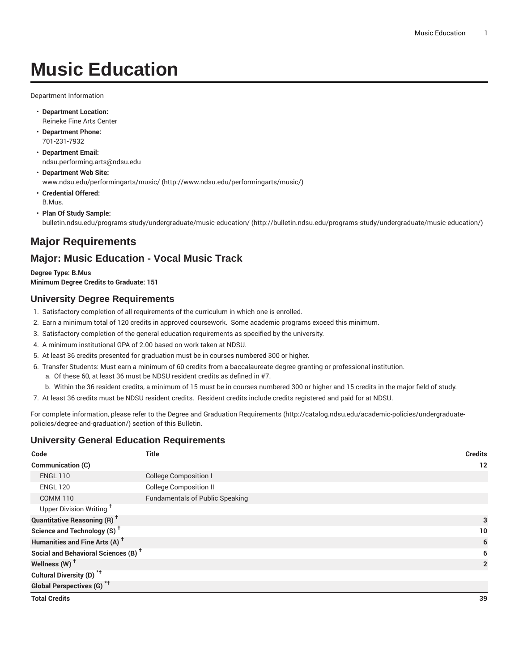# **Music Education**

Department Information

- **Department Location:** Reineke Fine Arts Center
- **Department Phone:** 701-231-7932
- **Department Email:** [ndsu.performing.arts@ndsu.edu](mailto:ndsu.performing.arts@ndsu.edu)
- **Department Web Site:** [www.ndsu.edu/performingarts/music/ \(http://www.ndsu.edu/performingarts/music/](http://www.ndsu.edu/performingarts/music/))
- **Credential Offered:** B.Mus.
- **Plan Of Study Sample:** [bulletin.ndsu.edu/programs-study/undergraduate/music-education/ \(http://bulletin.ndsu.edu/programs-study/undergraduate/music-education/](http://bulletin.ndsu.edu/programs-study/undergraduate/music-education/))

## **Major Requirements**

### **Major: Music Education - Vocal Music Track**

**Degree Type: B.Mus Minimum Degree Credits to Graduate: 151**

#### **University Degree Requirements**

- 1. Satisfactory completion of all requirements of the curriculum in which one is enrolled.
- 2. Earn a minimum total of 120 credits in approved coursework. Some academic programs exceed this minimum.
- 3. Satisfactory completion of the general education requirements as specified by the university.
- 4. A minimum institutional GPA of 2.00 based on work taken at NDSU.
- 5. At least 36 credits presented for graduation must be in courses numbered 300 or higher.
- 6. Transfer Students: Must earn a minimum of 60 credits from a baccalaureate-degree granting or professional institution.
	- a. Of these 60, at least 36 must be NDSU resident credits as defined in #7.
- b. Within the 36 resident credits, a minimum of 15 must be in courses numbered 300 or higher and 15 credits in the major field of study.
- 7. At least 36 credits must be NDSU resident credits. Resident credits include credits registered and paid for at NDSU.

For complete information, please refer to the Degree and Graduation [Requirements](http://catalog.ndsu.edu/academic-policies/undergraduate-policies/degree-and-graduation/) ([http://catalog.ndsu.edu/academic-policies/undergraduate](http://catalog.ndsu.edu/academic-policies/undergraduate-policies/degree-and-graduation/)[policies/degree-and-graduation/\)](http://catalog.ndsu.edu/academic-policies/undergraduate-policies/degree-and-graduation/) section of this Bulletin.

#### **University General Education Requirements**

| Code                                            | <b>Title</b>                           | <b>Credits</b> |                |
|-------------------------------------------------|----------------------------------------|----------------|----------------|
| Communication (C)                               |                                        |                | 12             |
| <b>ENGL 110</b>                                 | <b>College Composition I</b>           |                |                |
| <b>ENGL 120</b>                                 | <b>College Composition II</b>          |                |                |
| <b>COMM 110</b>                                 | <b>Fundamentals of Public Speaking</b> |                |                |
| Upper Division Writing <sup>+</sup>             |                                        |                |                |
| <b>Quantitative Reasoning (R)<sup>†</sup></b>   |                                        |                | 3              |
| Science and Technology (S) <sup>t</sup>         |                                        |                | 10             |
| Humanities and Fine Arts (A) <sup>+</sup>       |                                        |                | 6              |
| Social and Behavioral Sciences (B) <sup>+</sup> |                                        |                | 6              |
| Wellness (W) <sup>t</sup>                       |                                        |                | $\overline{2}$ |
| Cultural Diversity (D) <sup>*†</sup>            |                                        |                |                |
| <b>Global Perspectives (G)<sup>*†</sup></b>     |                                        |                |                |
| <b>Total Credits</b>                            |                                        |                | 39             |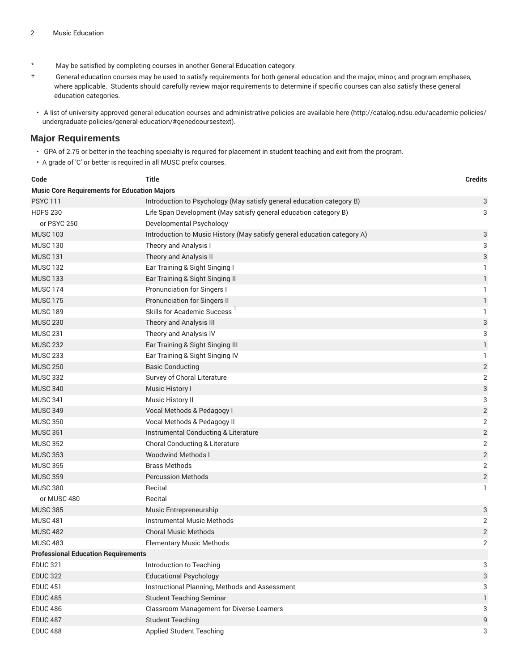- \* May be satisfied by completing courses in another General Education category.
- † General education courses may be used to satisfy requirements for both general education and the major, minor, and program emphases, where applicable. Students should carefully review major requirements to determine if specific courses can also satisfy these general education categories.
- A list of university approved general education courses and administrative policies are available [here](http://catalog.ndsu.edu/academic-policies/undergraduate-policies/general-education/#genedcoursestext) ([http://catalog.ndsu.edu/academic-policies/](http://catalog.ndsu.edu/academic-policies/undergraduate-policies/general-education/#genedcoursestext) [undergraduate-policies/general-education/#genedcoursestext](http://catalog.ndsu.edu/academic-policies/undergraduate-policies/general-education/#genedcoursestext)).

#### **Major Requirements**

- GPA of 2.75 or better in the teaching specialty is required for placement in student teaching and exit from the program.
- A grade of 'C' or better is required in all MUSC prefix courses.

| Code                                                | <b>Title</b>                                                             | <b>Credits</b>            |
|-----------------------------------------------------|--------------------------------------------------------------------------|---------------------------|
| <b>Music Core Requirements for Education Majors</b> |                                                                          |                           |
| <b>PSYC 111</b>                                     | Introduction to Psychology (May satisfy general education category B)    | 3                         |
| <b>HDFS 230</b>                                     | Life Span Development (May satisfy general education category B)         | 3                         |
| or PSYC 250                                         | Developmental Psychology                                                 |                           |
| <b>MUSC 103</b>                                     | Introduction to Music History (May satisfy general education category A) | 3                         |
| <b>MUSC 130</b>                                     | Theory and Analysis I                                                    | 3                         |
| <b>MUSC 131</b>                                     | Theory and Analysis II                                                   | $\ensuremath{\mathsf{3}}$ |
| <b>MUSC 132</b>                                     | Ear Training & Sight Singing I                                           | 1                         |
| <b>MUSC 133</b>                                     | Ear Training & Sight Singing II                                          | $\mathbf{1}$              |
| <b>MUSC 174</b>                                     | Pronunciation for Singers I                                              | 1                         |
| <b>MUSC 175</b>                                     | Pronunciation for Singers II                                             | $\mathbf{1}$              |
| <b>MUSC 189</b>                                     | Skills for Academic Success <sup>1</sup>                                 | 1                         |
| <b>MUSC 230</b>                                     | Theory and Analysis III                                                  | $\ensuremath{\mathsf{3}}$ |
| <b>MUSC 231</b>                                     | Theory and Analysis IV                                                   | 3                         |
| <b>MUSC 232</b>                                     | Ear Training & Sight Singing III                                         | $\mathbf{1}$              |
| <b>MUSC 233</b>                                     | Ear Training & Sight Singing IV                                          | 1                         |
| <b>MUSC 250</b>                                     | <b>Basic Conducting</b>                                                  | $\sqrt{2}$                |
| <b>MUSC 332</b>                                     | Survey of Choral Literature                                              | $\sqrt{2}$                |
| <b>MUSC 340</b>                                     | Music History I                                                          | $\ensuremath{\mathsf{3}}$ |
| <b>MUSC 341</b>                                     | Music History II                                                         | 3                         |
| <b>MUSC 349</b>                                     | Vocal Methods & Pedagogy I                                               | $\sqrt{2}$                |
| <b>MUSC 350</b>                                     | Vocal Methods & Pedagogy II                                              | $\overline{2}$            |
| <b>MUSC 351</b>                                     | Instrumental Conducting & Literature                                     | $\sqrt{2}$                |
| <b>MUSC 352</b>                                     | Choral Conducting & Literature                                           | $\sqrt{2}$                |
| <b>MUSC 353</b>                                     | <b>Woodwind Methods I</b>                                                | $\sqrt{2}$                |
| <b>MUSC 355</b>                                     | <b>Brass Methods</b>                                                     | $\overline{2}$            |
| <b>MUSC 359</b>                                     | <b>Percussion Methods</b>                                                | $\overline{c}$            |
| <b>MUSC 380</b>                                     | Recital                                                                  | 1                         |
| or MUSC 480                                         | Recital                                                                  |                           |
| <b>MUSC 385</b>                                     | Music Entrepreneurship                                                   | $\ensuremath{\mathsf{3}}$ |
| <b>MUSC 481</b>                                     | <b>Instrumental Music Methods</b>                                        | $\overline{2}$            |
| <b>MUSC 482</b>                                     | <b>Choral Music Methods</b>                                              | $\sqrt{2}$                |
| <b>MUSC 483</b>                                     | <b>Elementary Music Methods</b>                                          | $\overline{2}$            |
| <b>Professional Education Requirements</b>          |                                                                          |                           |
| <b>EDUC 321</b>                                     | Introduction to Teaching                                                 | 3                         |
| <b>EDUC 322</b>                                     | <b>Educational Psychology</b>                                            | 3                         |
| <b>EDUC 451</b>                                     | Instructional Planning, Methods and Assessment                           | 3                         |
| <b>EDUC 485</b>                                     | <b>Student Teaching Seminar</b>                                          | $\mathbf{1}$              |
| <b>EDUC 486</b>                                     | Classroom Management for Diverse Learners                                | 3                         |
| <b>EDUC 487</b>                                     | <b>Student Teaching</b>                                                  | 9                         |
| <b>EDUC 488</b>                                     | <b>Applied Student Teaching</b>                                          | 3                         |